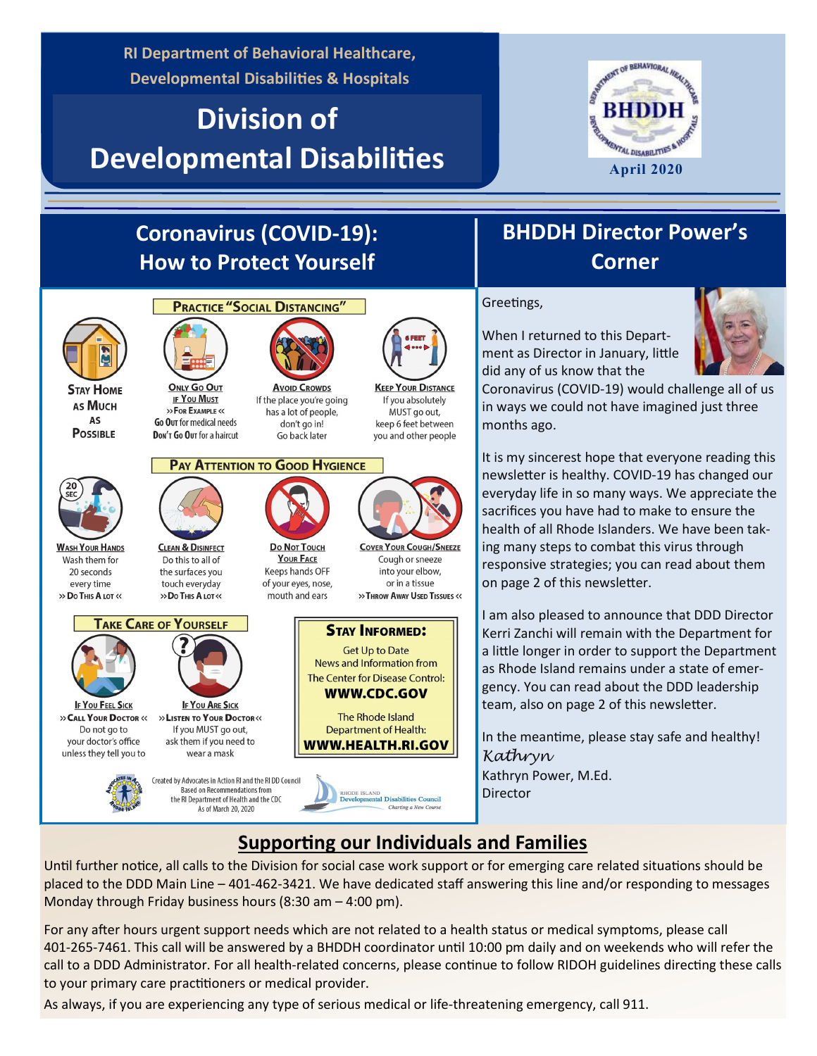**RI Department of Behavioral Healthcare, Developmental Disabilities & Hospitals**

# **Division of Developmental Disabilities**



# **Coronavirus (COVID-19): How to Protect Yourself**

**PRACTICE "SOCIAL DISTANCING"** 

**ONLY Go OUT** 

**IF YOU MUST** 

>> FOR EXAMPLE <<

Go Our for medical needs

Don't Go Out for a haircut

**CLEAN & DISINFECT** 

Do this to all of

the surfaces you

touch everyday



**STAY HOME** AS MUCH **AS POSSIBLE** 



**WASH YOUR HANDS** Wash them for 20 seconds every time >> Do This A LOT <<



>> CALL YOUR DOCTOR << Do not go to your doctor's office unless they tell you to





the RI Department of Health and the CDC As of March 20, 2020

**Avoid CROWDS** 

If the place you're going has a lot of people, don't go in! Go back later

#### **PAY ATTENTION TO GOOD HYGIENCE**

**Do Not Touch** 

**YOUR FACE** 

Keeps hands OFF

of your eyes, nose,



**KEEP YOUR DISTANCE** 

If you absolutely

MUST go out,

keep 6 feet between

you and other people

Cough or sneeze into your elbow. or in a tissue >> THROW AWAY USED TISSUES <<



**WWW.HEALTH.RI.GOV** 

# Greetings, **Corner**

**BHDDH Director Power's** 

When I returned to this Department as Director in January, little did any of us know that the



Coronavirus (COVID-19) would challenge all of us in ways we could not have imagined just three months ago.

It is my sincerest hope that everyone reading this newsletter is healthy. COVID-19 has changed our everyday life in so many ways. We appreciate the sacrifices you have had to make to ensure the health of all Rhode Islanders. We have been taking many steps to combat this virus through responsive strategies; you can read about them on page 2 of this newsletter.

I am also pleased to announce that DDD Director Kerri Zanchi will remain with the Department for a little longer in order to support the Department as Rhode Island remains under a state of emergency. You can read about the DDD leadership team, also on page 2 of this newsletter.

In the meantime, please stay safe and healthy! *Kathryn* Kathryn Power, M.Ed. Director

### **Supporting our Individuals and Families**

Charting a New Cours

Until further notice, all calls to the Division for social case work support or for emerging care related situations should be placed to the DDD Main Line – 401-462-3421. We have dedicated staff answering this line and/or responding to messages Monday through Friday business hours (8:30 am – 4:00 pm).

For any after hours urgent support needs which are not related to a health status or medical symptoms, please call 401-265-7461. This call will be answered by a BHDDH coordinator until 10:00 pm daily and on weekends who will refer the call to a DDD Administrator. For all health-related concerns, please continue to follow RIDOH guidelines directing these calls to your primary care practitioners or medical provider.

As always, if you are experiencing any type of serious medical or life-threatening emergency, call 911.